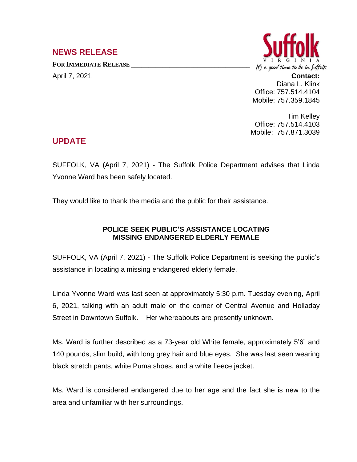## **NEWS RELEASE**

**FOR IMMEDIATE RELEASE \_\_\_\_\_\_\_\_\_\_\_\_\_\_\_\_\_\_\_\_\_\_\_\_\_\_\_\_\_\_\_\_\_\_**



April 7, 2021 **Contact:** Diana L. Klink Office: 757.514.4104 Mobile: 757.359.1845

> Tim Kelley Office: 757.514.4103 Mobile: 757.871.3039

## **UPDATE**

SUFFOLK, VA (April 7, 2021) - The Suffolk Police Department advises that Linda Yvonne Ward has been safely located.

They would like to thank the media and the public for their assistance.

## **POLICE SEEK PUBLIC'S ASSISTANCE LOCATING MISSING ENDANGERED ELDERLY FEMALE**

SUFFOLK, VA (April 7, 2021) - The Suffolk Police Department is seeking the public's assistance in locating a missing endangered elderly female.

Linda Yvonne Ward was last seen at approximately 5:30 p.m. Tuesday evening, April 6, 2021, talking with an adult male on the corner of Central Avenue and Holladay Street in Downtown Suffolk. Her whereabouts are presently unknown.

Ms. Ward is further described as a 73-year old White female, approximately 5'6" and 140 pounds, slim build, with long grey hair and blue eyes. She was last seen wearing black stretch pants, white Puma shoes, and a white fleece jacket.

Ms. Ward is considered endangered due to her age and the fact she is new to the area and unfamiliar with her surroundings.